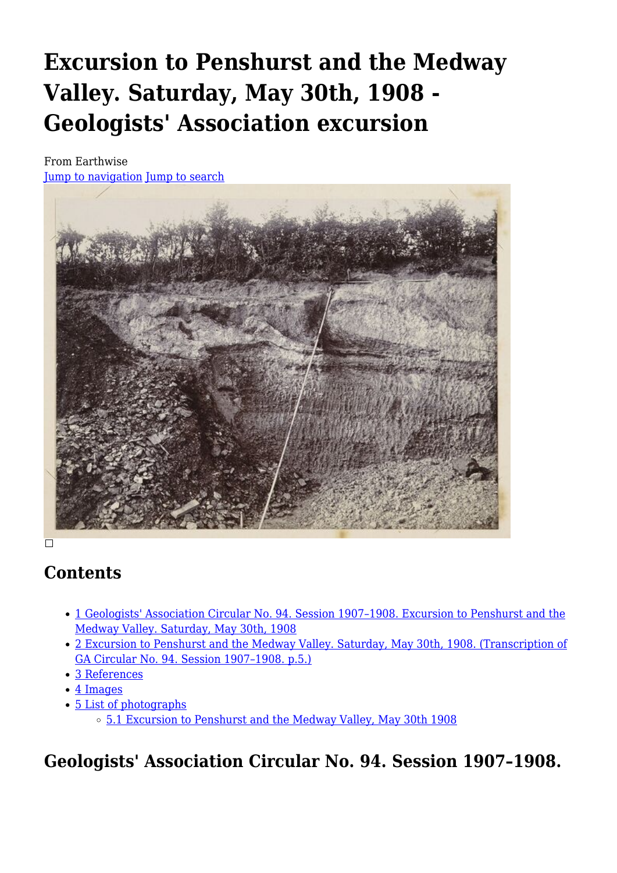# **Excursion to Penshurst and the Medway Valley. Saturday, May 30th, 1908 - Geologists' Association excursion**

From Earthwise [Jump to navigation](#page--1-0) [Jump to search](#page--1-0)



# **Contents**

- [1](#Geologists.27_Association_Circular_No._94._Session_1907.E2.80.931908._Excursion_to_Penshurst_and_the_Medway_Valley._Saturday.2C_May_30th.2C_1908) [Geologists' Association Circular No. 94. Session 1907–1908. Excursion to Penshurst and the](#Geologists.27_Association_Circular_No._94._Session_1907.E2.80.931908._Excursion_to_Penshurst_and_the_Medway_Valley._Saturday.2C_May_30th.2C_1908) [Medway Valley. Saturday, May 30th, 1908](#Geologists.27_Association_Circular_No._94._Session_1907.E2.80.931908._Excursion_to_Penshurst_and_the_Medway_Valley._Saturday.2C_May_30th.2C_1908)
- [2](#Excursion_to_Penshurst_and_the_Medway_Valley._Saturday.2C_May_30th.2C_1908._.28Transcription_of_GA_Circular_No._94._Session_1907.E2.80.931908._p.5..29) [Excursion to Penshurst and the Medway Valley. Saturday, May 30th, 1908. \(Transcription of](#Excursion_to_Penshurst_and_the_Medway_Valley._Saturday.2C_May_30th.2C_1908._.28Transcription_of_GA_Circular_No._94._Session_1907.E2.80.931908._p.5..29) [GA Circular No. 94. Session 1907–1908. p.5.\)](#Excursion_to_Penshurst_and_the_Medway_Valley._Saturday.2C_May_30th.2C_1908._.28Transcription_of_GA_Circular_No._94._Session_1907.E2.80.931908._p.5..29)
- [3](#page--1-0) [References](#page--1-0)
- [4](#page--1-0) [Images](#page--1-0)
- [5](#page--1-0) [List of photographs](#page--1-0)
	- [5.1](#Excursion_to_Penshurst_and_the_Medway_Valley.2C_May_30th_1908) [Excursion to Penshurst and the Medway Valley, May 30th 1908](#Excursion_to_Penshurst_and_the_Medway_Valley.2C_May_30th_1908)

# **Geologists' Association Circular No. 94. Session 1907–1908.**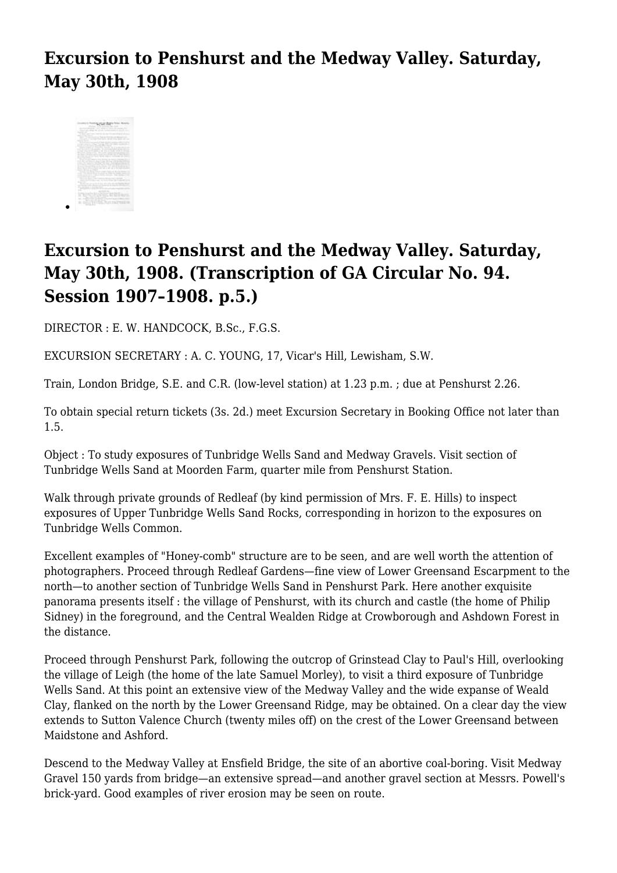# **Excursion to Penshurst and the Medway Valley. Saturday, May 30th, 1908**



# **Excursion to Penshurst and the Medway Valley. Saturday, May 30th, 1908. (Transcription of GA Circular No. 94. Session 1907–1908. p.5.)**

DIRECTOR : E. W. HANDCOCK, B.Sc., F.G.S.

EXCURSION SECRETARY : A. C. YOUNG, 17, Vicar's Hill, Lewisham, S.W.

Train, London Bridge, S.E. and C.R. (low-level station) at 1.23 p.m. ; due at Penshurst 2.26.

To obtain special return tickets (3s. 2d.) meet Excursion Secretary in Booking Office not later than 1.5.

Object : To study exposures of Tunbridge Wells Sand and Medway Gravels. Visit section of Tunbridge Wells Sand at Moorden Farm, quarter mile from Penshurst Station.

Walk through private grounds of Redleaf (by kind permission of Mrs. F. E. Hills) to inspect exposures of Upper Tunbridge Wells Sand Rocks, corresponding in horizon to the exposures on Tunbridge Wells Common.

Excellent examples of "Honey-comb" structure are to be seen, and are well worth the attention of photographers. Proceed through Redleaf Gardens—fine view of Lower Greensand Escarpment to the north—to another section of Tunbridge Wells Sand in Penshurst Park. Here another exquisite panorama presents itself : the village of Penshurst, with its church and castle (the home of Philip Sidney) in the foreground, and the Central Wealden Ridge at Crowborough and Ashdown Forest in the distance.

Proceed through Penshurst Park, following the outcrop of Grinstead Clay to Paul's Hill, overlooking the village of Leigh (the home of the late Samuel Morley), to visit a third exposure of Tunbridge Wells Sand. At this point an extensive view of the Medway Valley and the wide expanse of Weald Clay, flanked on the north by the Lower Greensand Ridge, may be obtained. On a clear day the view extends to Sutton Valence Church (twenty miles off) on the crest of the Lower Greensand between Maidstone and Ashford.

Descend to the Medway Valley at Ensfield Bridge, the site of an abortive coal-boring. Visit Medway Gravel 150 yards from bridge—an extensive spread—and another gravel section at Messrs. Powell's brick-yard. Good examples of river erosion may be seen on route.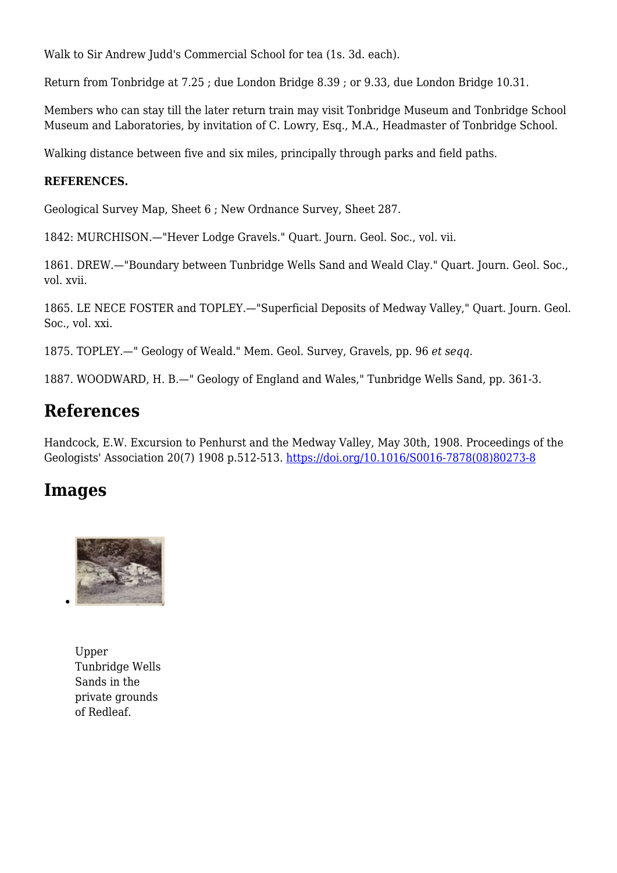Walk to Sir Andrew Judd's Commercial School for tea (1s. 3d. each).

Return from Tonbridge at 7.25 ; due London Bridge 8.39 ; or 9.33, due London Bridge 10.31.

Members who can stay till the later return train may visit Tonbridge Museum and Tonbridge School Museum and Laboratories, by invitation of C. Lowry, Esq., M.A., Headmaster of Tonbridge School.

Walking distance between five and six miles, principally through parks and field paths.

#### **REFERENCES.**

Geological Survey Map, Sheet 6 ; New Ordnance Survey, Sheet 287.

1842: MURCHISON.—"Hever Lodge Gravels." Quart. Journ. Geol. Soc., vol. vii.

1861. DREW.—"Boundary between Tunbridge Wells Sand and Weald Clay." Quart. Journ. Geol. Soc., vol. xvii.

1865. LE NECE FOSTER and TOPLEY.—"Superficial Deposits of Medway Valley," Quart. Journ. Geol. Soc., vol. xxi.

1875. TOPLEY.—" Geology of Weald." Mem. Geol. Survey, Gravels, pp. 96 *et seqq.*

1887. WOODWARD, H. B.—" Geology of England and Wales," Tunbridge Wells Sand, pp. 361-3.

### **References**

Handcock, E.W. Excursion to Penhurst and the Medway Valley, May 30th, 1908. Proceedings of the Geologists' Association 20(7) 1908 p.512-513. [https://doi.org/10.1016/S0016-7878\(08\)80273-8](https://doi.org/10.1016/S0016-7878(08)80273-8)

### **Images**



Upper Tunbridge Wells Sands in the private grounds of Redleaf.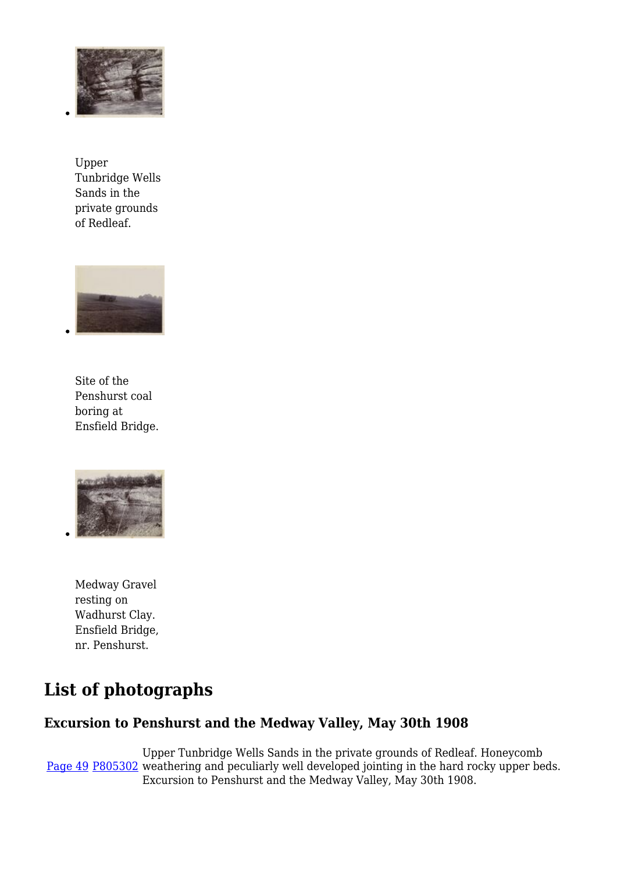

Upper Tunbridge Wells Sands in the private grounds of Redleaf.



Site of the Penshurst coal boring at Ensfield Bridge.



Medway Gravel resting on Wadhurst Clay. Ensfield Bridge, nr. Penshurst.

# **List of photographs**

### **Excursion to Penshurst and the Medway Valley, May 30th 1908**

[Page 49](http://pubs.bgs.ac.uk/publications.html?pubID=GA007#v=d&z=2&n=5&i=P803145.jp2&y=305&x=1073) [P805302](http://geoscenic.bgs.ac.uk/asset-bank/action/viewAsset?id=393618) weathering and peculiarly well developed jointing in the hard rocky upper beds. Upper Tunbridge Wells Sands in the private grounds of Redleaf. Honeycomb Excursion to Penshurst and the Medway Valley, May 30th 1908.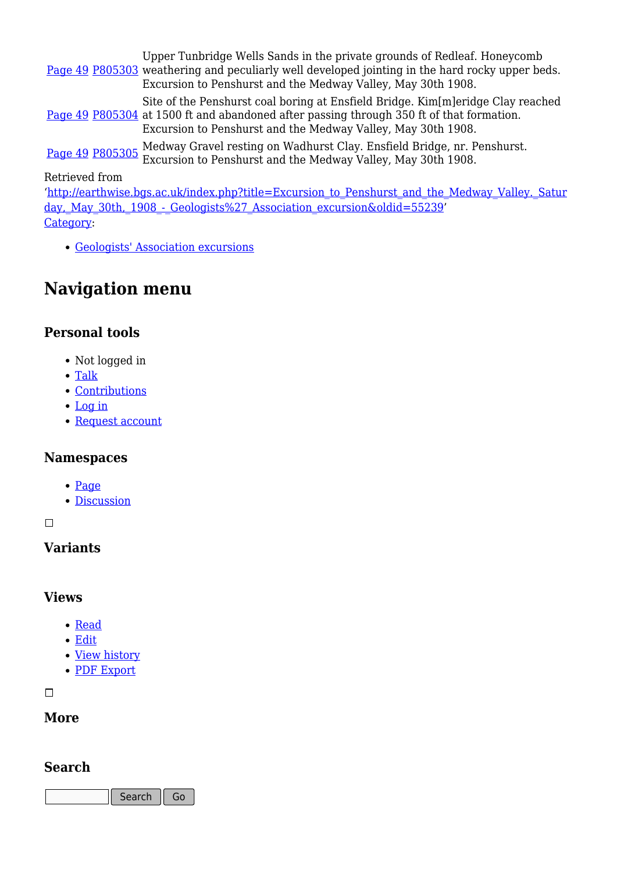[Page 49](http://pubs.bgs.ac.uk/publications.html?pubID=GA007#v=d&z=2&n=5&i=P803145.jp2&y=305&x=1073) [P805303](http://geoscenic.bgs.ac.uk/asset-bank/action/viewAsset?id=393619) weathering and peculiarly well developed jointing in the hard rocky upper beds. Upper Tunbridge Wells Sands in the private grounds of Redleaf. Honeycomb Excursion to Penshurst and the Medway Valley, May 30th 1908.

<u>[Page 49](http://pubs.bgs.ac.uk/publications.html?pubID=GA007#v=d&z=2&n=5&i=P803145.jp2&y=305&x=1073) [P805304](http://geoscenic.bgs.ac.uk/asset-bank/action/viewAsset?id=393620)</u> at 1500 ft and abandoned after passing through 350 ft of that formation. Site of the Penshurst coal boring at Ensfield Bridge. Kim[m]eridge Clay reached Excursion to Penshurst and the Medway Valley, May 30th 1908.

[Page 49](http://pubs.bgs.ac.uk/publications.html?pubID=GA007#v=d&z=2&n=5&i=P803145.jp2&y=305&x=1073) [P805305](http://geoscenic.bgs.ac.uk/asset-bank/action/viewAsset?id=393621) Medway Gravel resting on Wadhurst Clay. Ensfield Bridge, nr. Penshurst. Excursion to Penshurst and the Medway Valley, May 30th 1908.

Retrieved from

'[http://earthwise.bgs.ac.uk/index.php?title=Excursion\\_to\\_Penshurst\\_and\\_the\\_Medway\\_Valley.\\_Satur](http://earthwise.bgs.ac.uk/index.php?title=Excursion_to_Penshurst_and_the_Medway_Valley._Saturday,_May_30th,_1908_-_Geologists%27_Association_excursion&oldid=55239) day, May 30th, 1908 - Geologists%27 Association excursion&oldid=55239' [Category](http://earthwise.bgs.ac.uk/index.php/Special:Categories):

[Geologists' Association excursions](http://earthwise.bgs.ac.uk/index.php/Category:Geologists%27_Association_excursions)

### **Navigation menu**

### **Personal tools**

- Not logged in
- [Talk](http://earthwise.bgs.ac.uk/index.php/Special:MyTalk)
- [Contributions](http://earthwise.bgs.ac.uk/index.php/Special:MyContributions)
- [Log in](http://earthwise.bgs.ac.uk/index.php?title=Special:UserLogin&returnto=Excursion+to+Penshurst+and+the+Medway+Valley.+Saturday%2C+May+30th%2C+1908+-+Geologists%27+Association+excursion&returntoquery=action%3Dmpdf)
- [Request account](http://earthwise.bgs.ac.uk/index.php/Special:RequestAccount)

#### **Namespaces**

- [Page](http://earthwise.bgs.ac.uk/index.php/Excursion_to_Penshurst_and_the_Medway_Valley._Saturday,_May_30th,_1908_-_Geologists%27_Association_excursion)
- [Discussion](http://earthwise.bgs.ac.uk/index.php?title=Talk:Excursion_to_Penshurst_and_the_Medway_Valley._Saturday,_May_30th,_1908_-_Geologists%27_Association_excursion&action=edit&redlink=1)

 $\Box$ 

### **Variants**

#### **Views**

- [Read](http://earthwise.bgs.ac.uk/index.php/Excursion_to_Penshurst_and_the_Medway_Valley._Saturday,_May_30th,_1908_-_Geologists%27_Association_excursion)
- [Edit](http://earthwise.bgs.ac.uk/index.php?title=Excursion_to_Penshurst_and_the_Medway_Valley._Saturday,_May_30th,_1908_-_Geologists%27_Association_excursion&action=edit)
- [View history](http://earthwise.bgs.ac.uk/index.php?title=Excursion_to_Penshurst_and_the_Medway_Valley._Saturday,_May_30th,_1908_-_Geologists%27_Association_excursion&action=history)
- [PDF Export](http://earthwise.bgs.ac.uk/index.php?title=Excursion_to_Penshurst_and_the_Medway_Valley._Saturday,_May_30th,_1908_-_Geologists%27_Association_excursion&action=mpdf)

 $\mathcal{L}_{\mathcal{A}}$ 

#### **More**

#### **Search**

Search | Go